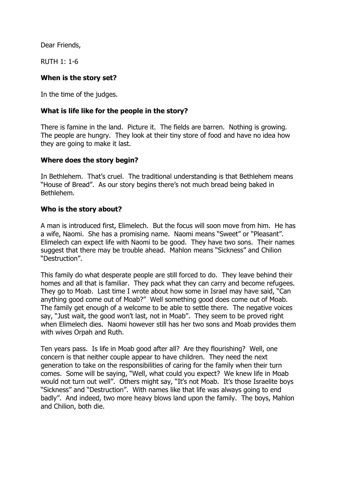Dear Friends,

RUTH 1: 1-6

## **When is the story set?**

In the time of the judges.

## **What is life like for the people in the story?**

There is famine in the land. Picture it. The fields are barren. Nothing is growing. The people are hungry. They look at their tiny store of food and have no idea how they are going to make it last.

## **Where does the story begin?**

In Bethlehem. That's cruel. The traditional understanding is that Bethlehem means "House of Bread". As our story begins there's not much bread being baked in Bethlehem.

## **Who is the story about?**

A man is introduced first, Elimelech. But the focus will soon move from him. He has a wife, Naomi. She has a promising name. Naomi means "Sweet" or "Pleasant". Elimelech can expect life with Naomi to be good. They have two sons. Their names suggest that there may be trouble ahead. Mahlon means "Sickness" and Chilion "Destruction".

This family do what desperate people are still forced to do. They leave behind their homes and all that is familiar. They pack what they can carry and become refugees. They go to Moab. Last time I wrote about how some in Israel may have said, "Can anything good come out of Moab?" Well something good does come out of Moab. The family get enough of a welcome to be able to settle there. The negative voices say, "Just wait, the good won't last, not in Moab". They seem to be proved right when Elimelech dies. Naomi however still has her two sons and Moab provides them with wives Orpah and Ruth.

Ten years pass. Is life in Moab good after all? Are they flourishing? Well, one concern is that neither couple appear to have children. They need the next generation to take on the responsibilities of caring for the family when their turn comes. Some will be saying, "Well, what could you expect? We knew life in Moab would not turn out well". Others might say, "It's not Moab. It's those Israelite boys "Sickness" and "Destruction". With names like that life was always going to end badly". And indeed, two more heavy blows land upon the family. The boys, Mahlon and Chilion, both die.